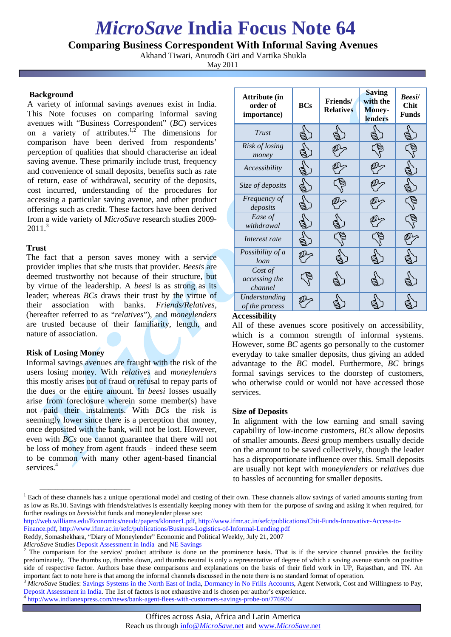# *MicroSave* **India Focus Note 64**

## **Comparing Business Correspondent With Informal Saving Avenues**

Akhand Tiwari, Anurodh Giri and Vartika Shukla

May 2011

## **Background**

A variety of informal savings avenues exist in India. This Note focuses on comparing informal saving avenues with "Business Correspondent" (*BC*) services on a variety of attributes.<sup>1,2</sup> The dimensions for comparison have been derived from respondents' perception of qualities that should characterise an ideal saving avenue. These primarily include trust, frequency and convenience of small deposits, benefits such as rate of return, ease of withdrawal, security of the deposits, cost incurred, understanding of the procedures for accessing a particular saving avenue, and other product offerings such as credit. These factors have been derived from a wide variety of *MicroSave* research studies 2009- 2011.<sup>3</sup>

## **Trust**

The fact that a person saves money with a service provider implies that s/he trusts that provider. *Beesis* are deemed trustworthy not because of their structure, but by virtue of the leadership. A *beesi* is as strong as its leader; whereas *BCs* draws their trust by the virtue of their association with banks. *Friends/Relatives,* (hereafter referred to as "*relatives*"), and *moneylenders*  are trusted because of their familiarity, length, and nature of association.

## **Risk of Losing Money**

 $\overline{\phantom{a}}$  ,  $\overline{\phantom{a}}$  ,  $\overline{\phantom{a}}$  ,  $\overline{\phantom{a}}$  ,  $\overline{\phantom{a}}$  ,  $\overline{\phantom{a}}$  ,  $\overline{\phantom{a}}$  ,  $\overline{\phantom{a}}$  ,  $\overline{\phantom{a}}$  ,  $\overline{\phantom{a}}$  ,  $\overline{\phantom{a}}$  ,  $\overline{\phantom{a}}$  ,  $\overline{\phantom{a}}$  ,  $\overline{\phantom{a}}$  ,  $\overline{\phantom{a}}$  ,  $\overline{\phantom{a}}$ 

Informal savings avenues are fraught with the risk of the users losing money. With *relatives* and *moneylenders* this mostly arises out of fraud or refusal to repay parts of the dues or the entire amount. In *beesi* losses usually arise from foreclosure wherein some member(s) have not paid their instalments. With *BCs* the risk is seemingly lower since there is a perception that money, once deposited with the bank, will not be lost. However, even with *BCs* one cannot guarantee that there will not be loss of money from agent frauds – indeed these seem to be common with many other agent-based financial services.<sup>4</sup>

| Attribute (in<br>order of<br>importance) | <b>BCs</b> | <b>Friends</b> /<br><b>Relatives</b> | <b>Saving</b><br>with the<br>Money-<br>lenders | <b>Beesil</b><br><b>Chit</b><br><b>Funds</b> |
|------------------------------------------|------------|--------------------------------------|------------------------------------------------|----------------------------------------------|
| Trust                                    |            |                                      |                                                |                                              |
| Risk of losing<br>money                  |            |                                      |                                                |                                              |
| Accessibility                            |            |                                      |                                                |                                              |
| Size of deposits                         |            |                                      |                                                |                                              |
| Frequency of<br>deposits                 |            |                                      |                                                |                                              |
| Ease of<br>withdrawal                    |            |                                      |                                                |                                              |
| Interest rate                            |            |                                      |                                                |                                              |
| Possibility of a<br>loan                 |            |                                      |                                                |                                              |
| Cost of<br>accessing the<br>channel      |            |                                      |                                                |                                              |
| Understanding<br>of the process          |            |                                      |                                                |                                              |

#### **Accessibility**

All of these avenues score positively on accessibility, which is a common strength of informal systems. However, some *BC* agents go personally to the customer everyday to take smaller deposits, thus giving an added advantage to the *BC* model. Furthermore, *BC* brings formal savings services to the doorstep of customers, who otherwise could or would not have accessed those services.

## **Size of Deposits**

In alignment with the low earning and small saving capability of low-income customers, *BCs* allow deposits of smaller amounts. *Beesi* group members usually decide on the amount to be saved collectively, though the leader has a disproportionate influence over this. Small deposits are usually not kept with *moneylenders* or *relatives* due to hassles of accounting for smaller deposits.

- [http://web.williams.edu/Economics/neudc/papers/klonner1.pdf,](http://web.williams.edu/Economics/neudc/papers/klonner1.pdf) [http://www.ifmr.ac.in/sefc/publications/Chit-Funds-Innovative-Access-to-](http://www.ifmr.ac.in/sefc/publications/Chit-Funds-Innovative-Access-to-Finance.pdf)
- [Finance.pdf,](http://www.ifmr.ac.in/sefc/publications/Chit-Funds-Innovative-Access-to-Finance.pdf)<http://www.ifmr.ac.in/sefc/publications/Business-Logistics-of-Informal-Lending.pdf>
- Reddy, Somashekhara, "Diary of Moneylender" Economic and Political Weekly, July 21, 2007

<sup>&</sup>lt;sup>1</sup> Each of these channels has a unique operational model and costing of their own. These channels allow savings of varied amounts starting from as low as Rs.10. Savings with friends/relatives is essentially keeping money with them for the purpose of saving and asking it when required, for further readings on *beesis*/chit funds and moneylender please see:

*MicroSave* Studie[s Deposit Assessment in India](http://www.microsave.org/research_paper/deposit-assessment-in-india) an[d NE Savings](http://microsave.org/research_paper/understanding-and-responding-to-the-savings-behaviour-of-the-low-income-people-in-the)<br><sup>2</sup> The comparison for the service/ product attribute is done on the prominence basis. That is if the service channel provides the facility predominately. The thumbs up, thumbs down, and thumbs neutral is only a representative of degree of which a saving avenue stands on positive side of respective factor. Authors base these comparisons and explanations on the basis of their field work in UP, Rajasthan, and TN. An important fact to note here is that among the informal channels discussed in the note

<sup>&</sup>lt;sup>3</sup> MicroSave Studies[: Savings Systems in the North East of India,](http://microsave.org/research_paper/understanding-and-responding-to-the-savings-behaviour-of-the-low-income-people-in-the) [Dormancy in No Frills Accounts,](http://www.microsave.org/research_paper/dormancy-in-no-frill-accounts) Agent Network, Cost and Willingness to Pay, [Deposit Assessment in India.](http://www.microsave.org/research_paper/deposit-assessment-in-india) The list of factors is not exhaustive and is chosen per author's experience. [4](http://www.microsave.org/research_paper/deposit-assessment-in-india) <http://www.indianexpress.com/news/bank-agent-flees-with-customers-savings-probe-on/776926/>